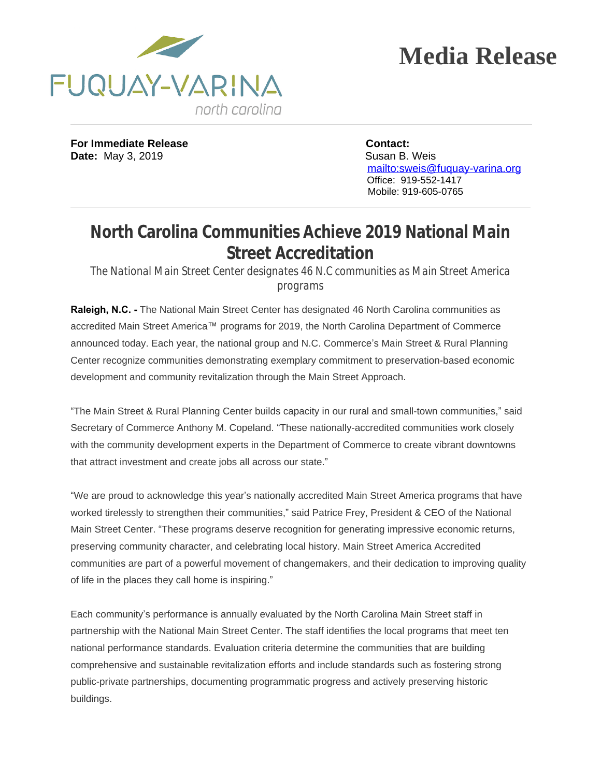



**For Immediate Release Contact: Date:** May 3, 2019 **Susan B. Weis** 

 $\overline{a}$ 

 <mailto:sweis@fuquay-varina.org> Office: 919-552-1417 Mobile: 919-605-0765

## **North Carolina Communities Achieve 2019 National Main Street Accreditation**

*The National Main Street Center designates 46 N.C communities as Main Street America programs*

**Raleigh, N.C. -** The National Main Street Center has designated 46 North Carolina communities as accredited Main Street America™ programs for 2019, the North Carolina Department of Commerce announced today. Each year, the national group and N.C. Commerce's Main Street & Rural Planning Center recognize communities demonstrating exemplary commitment to preservation-based economic development and community revitalization through the Main Street Approach.

"The Main Street & Rural Planning Center builds capacity in our rural and small-town communities," said Secretary of Commerce Anthony M. Copeland. "These nationally-accredited communities work closely with the community development experts in the Department of Commerce to create vibrant downtowns that attract investment and create jobs all across our state."

"We are proud to acknowledge this year's nationally accredited Main Street America programs that have worked tirelessly to strengthen their communities," said Patrice Frey, President & CEO of the National Main Street Center. "These programs deserve recognition for generating impressive economic returns, preserving community character, and celebrating local history. Main Street America Accredited communities are part of a powerful movement of changemakers, and their dedication to improving quality of life in the places they call home is inspiring."

Each community's performance is annually evaluated by the North Carolina Main Street staff in partnership with the National Main Street Center. The staff identifies the local programs that meet ten national performance standards. Evaluation criteria determine the communities that are building comprehensive and sustainable revitalization efforts and include standards such as fostering strong public-private partnerships, documenting programmatic progress and actively preserving historic buildings.